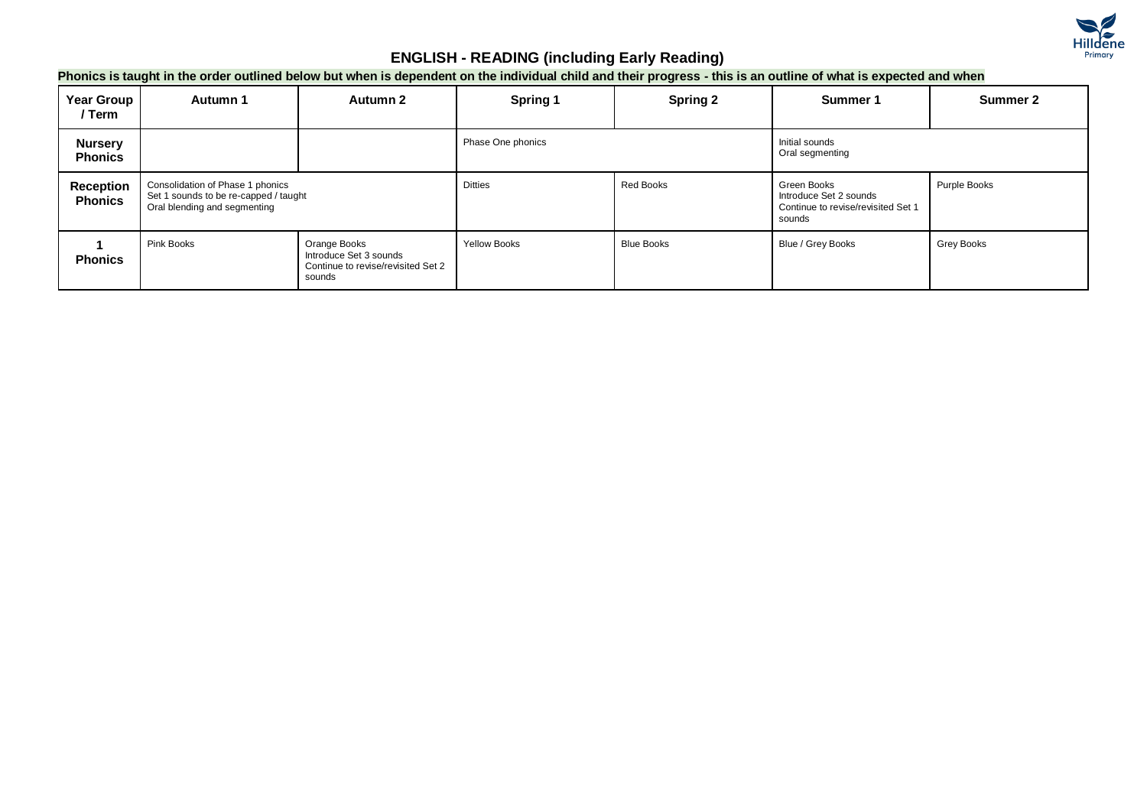

#### **Phonics is taught in the order outlined below but when is dependent on the individual child and their progress - this is an outline of what is expected and when**

| <b>Year Group</b><br>/ Term      | Autumn 1                                                                                                  | Autumn 2                                                                               | Spring 1            | <b>Spring 2</b>   | Summer 1                                                                              | Summer 2     |
|----------------------------------|-----------------------------------------------------------------------------------------------------------|----------------------------------------------------------------------------------------|---------------------|-------------------|---------------------------------------------------------------------------------------|--------------|
| <b>Nursery</b><br><b>Phonics</b> |                                                                                                           |                                                                                        | Phase One phonics   |                   | Initial sounds<br>Oral segmenting                                                     |              |
| Reception<br><b>Phonics</b>      | Consolidation of Phase 1 phonics<br>Set 1 sounds to be re-capped / taught<br>Oral blending and segmenting |                                                                                        | <b>Ditties</b>      | Red Books         | Green Books<br>Introduce Set 2 sounds<br>Continue to revise/revisited Set 1<br>sounds | Purple Books |
| <b>Phonics</b>                   | Pink Books                                                                                                | Orange Books<br>Introduce Set 3 sounds<br>Continue to revise/revisited Set 2<br>sounds | <b>Yellow Books</b> | <b>Blue Books</b> | Blue / Grey Books                                                                     | Grey Books   |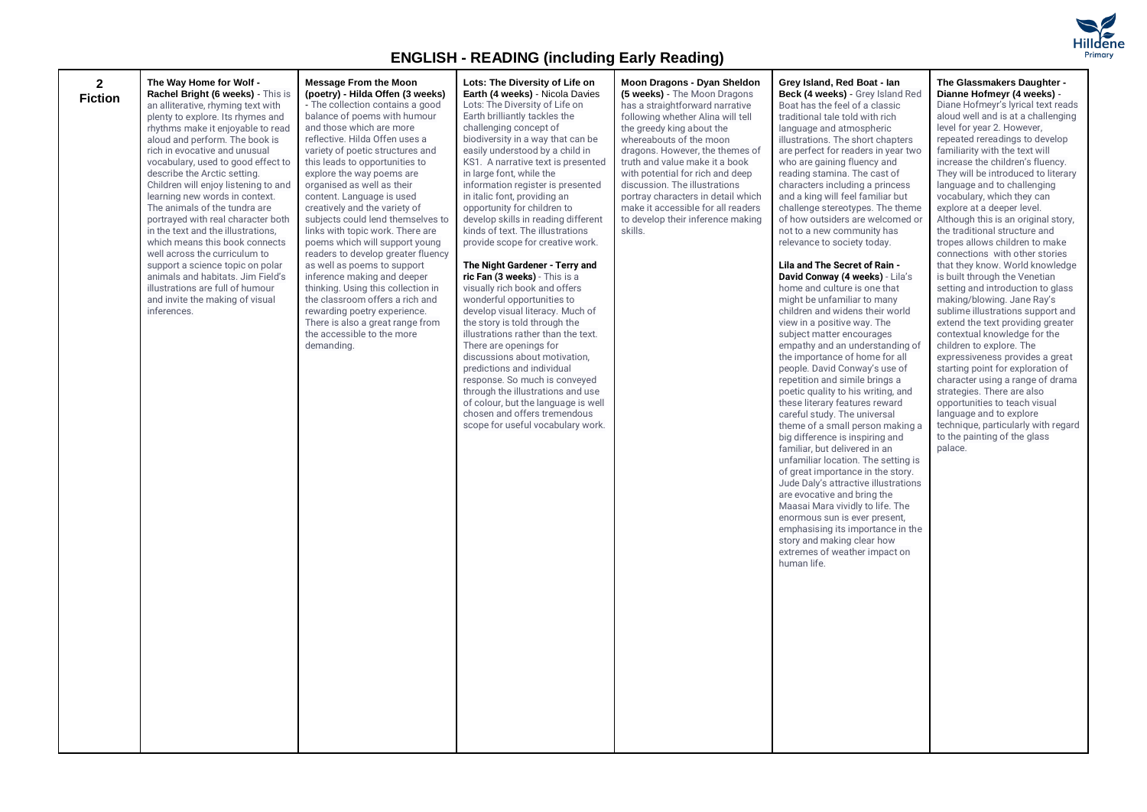

| $\mathbf{2}$<br><b>Fiction</b> | The Way Home for Wolf -<br>Rachel Bright (6 weeks) - This is<br>an alliterative, rhyming text with<br>plenty to explore. Its rhymes and<br>rhythms make it enjoyable to read<br>aloud and perform. The book is<br>rich in evocative and unusual<br>vocabulary, used to good effect to<br>describe the Arctic setting.<br>Children will enjoy listening to and<br>learning new words in context.<br>The animals of the tundra are<br>portrayed with real character both<br>in the text and the illustrations,<br>which means this book connects<br>well across the curriculum to<br>support a science topic on polar<br>animals and habitats. Jim Field's<br>illustrations are full of humour<br>and invite the making of visual<br>inferences. | <b>Message From the Moon</b><br>(poetry) - Hilda Offen (3 weeks)<br>- The collection contains a good<br>balance of poems with humour<br>and those which are more<br>reflective. Hilda Offen uses a<br>variety of poetic structures and<br>this leads to opportunities to<br>explore the way poems are<br>organised as well as their<br>content. Language is used<br>creatively and the variety of<br>subjects could lend themselves to<br>links with topic work. There are<br>poems which will support young<br>readers to develop greater fluency<br>as well as poems to support<br>inference making and deeper<br>thinking. Using this collection in<br>the classroom offers a rich and<br>rewarding poetry experience.<br>There is also a great range from<br>the accessible to the more<br>demanding. | Lots: The Diversity of Life on<br>Earth (4 weeks) - Nicola Davies<br>Lots: The Diversity of Life on<br>Earth brilliantly tackles the<br>challenging concept of<br>biodiversity in a way that can be<br>easily understood by a child in<br>KS1. A narrative text is presented<br>in large font, while the<br>information register is presented<br>in italic font, providing an<br>opportunity for children to<br>develop skills in reading different<br>kinds of text. The illustrations<br>provide scope for creative work.<br>The Night Gardener - Terry and<br>ric Fan (3 weeks) - This is a<br>visually rich book and offers<br>wonderful opportunities to<br>develop visual literacy. Much of<br>the story is told through the<br>illustrations rather than the text.<br>There are openings for<br>discussions about motivation,<br>predictions and individual<br>response. So much is conveyed<br>through the illustrations and use<br>of colour, but the language is well<br>chosen and offers tremendous<br>scope for useful vocabulary work. | Moon Dragons - Dyan Sheldon<br>(5 weeks) - The Moon Dragons<br>has a straightforward narrative<br>following whether Alina will tell<br>the greedy king about the<br>whereabouts of the moon<br>dragons. However, the themes of<br>truth and value make it a book<br>with potential for rich and deep<br>discussion. The illustrations<br>portray characters in detail which<br>make it accessible for all readers<br>to develop their inference making<br>skills. | Grey Island, Red Boat - Ian<br>Beck (4 weeks) - Grey Island Red<br>Boat has the feel of a classic<br>traditional tale told with rich<br>language and atmospheric<br>illustrations. The short chapters<br>are perfect for readers in year two<br>who are gaining fluency and<br>reading stamina. The cast of<br>characters including a princess<br>and a king will feel familiar but<br>challenge stereotypes. The theme<br>of how outsiders are welcomed or<br>not to a new community has<br>relevance to society today.<br>Lila and The Secret of Rain -<br>David Conway (4 weeks) - Lila's<br>home and culture is one that<br>might be unfamiliar to many<br>children and widens their world<br>view in a positive way. The<br>subject matter encourages<br>empathy and an understanding of<br>the importance of home for all<br>people. David Conway's use of<br>repetition and simile brings a<br>poetic quality to his writing, and<br>these literary features reward<br>careful study. The universal<br>theme of a small person making a<br>big difference is inspiring and<br>familiar, but delivered in an<br>unfamiliar location. The setting is<br>of great importance in the story.<br>Jude Daly's attractive illustrations<br>are evocative and bring the<br>Maasai Mara vividly to life. The<br>enormous sun is ever present,<br>emphasising its importance in the<br>story and making clear how<br>extremes of weather impact on<br>human life. | The Glassmakers Daughter -<br>Dianne Hofmeyr (4 weeks) -<br>Diane Hofmeyr's lyrical text reads<br>aloud well and is at a challenging<br>level for year 2. However,<br>repeated rereadings to develop<br>familiarity with the text will<br>increase the children's fluency.<br>They will be introduced to literary<br>language and to challenging<br>vocabulary, which they can<br>explore at a deeper level.<br>Although this is an original story,<br>the traditional structure and<br>tropes allows children to make<br>connections with other stories<br>that they know. World knowledge<br>is built through the Venetian<br>setting and introduction to glass<br>making/blowing. Jane Ray's<br>sublime illustrations support and<br>extend the text providing greater<br>contextual knowledge for the<br>children to explore. The<br>expressiveness provides a great<br>starting point for exploration of<br>character using a range of drama<br>strategies. There are also<br>opportunities to teach visual<br>language and to explore<br>technique, particularly with regard<br>to the painting of the glass<br>palace. |
|--------------------------------|------------------------------------------------------------------------------------------------------------------------------------------------------------------------------------------------------------------------------------------------------------------------------------------------------------------------------------------------------------------------------------------------------------------------------------------------------------------------------------------------------------------------------------------------------------------------------------------------------------------------------------------------------------------------------------------------------------------------------------------------|-----------------------------------------------------------------------------------------------------------------------------------------------------------------------------------------------------------------------------------------------------------------------------------------------------------------------------------------------------------------------------------------------------------------------------------------------------------------------------------------------------------------------------------------------------------------------------------------------------------------------------------------------------------------------------------------------------------------------------------------------------------------------------------------------------------|------------------------------------------------------------------------------------------------------------------------------------------------------------------------------------------------------------------------------------------------------------------------------------------------------------------------------------------------------------------------------------------------------------------------------------------------------------------------------------------------------------------------------------------------------------------------------------------------------------------------------------------------------------------------------------------------------------------------------------------------------------------------------------------------------------------------------------------------------------------------------------------------------------------------------------------------------------------------------------------------------------------------------------------------------|-------------------------------------------------------------------------------------------------------------------------------------------------------------------------------------------------------------------------------------------------------------------------------------------------------------------------------------------------------------------------------------------------------------------------------------------------------------------|---------------------------------------------------------------------------------------------------------------------------------------------------------------------------------------------------------------------------------------------------------------------------------------------------------------------------------------------------------------------------------------------------------------------------------------------------------------------------------------------------------------------------------------------------------------------------------------------------------------------------------------------------------------------------------------------------------------------------------------------------------------------------------------------------------------------------------------------------------------------------------------------------------------------------------------------------------------------------------------------------------------------------------------------------------------------------------------------------------------------------------------------------------------------------------------------------------------------------------------------------------------------------------------------------------------------------------------------------------------------------------------------------------------------------------------------------------------|-------------------------------------------------------------------------------------------------------------------------------------------------------------------------------------------------------------------------------------------------------------------------------------------------------------------------------------------------------------------------------------------------------------------------------------------------------------------------------------------------------------------------------------------------------------------------------------------------------------------------------------------------------------------------------------------------------------------------------------------------------------------------------------------------------------------------------------------------------------------------------------------------------------------------------------------------------------------------------------------------------------------------------------------------------------------------------------------------------------------------------|
|--------------------------------|------------------------------------------------------------------------------------------------------------------------------------------------------------------------------------------------------------------------------------------------------------------------------------------------------------------------------------------------------------------------------------------------------------------------------------------------------------------------------------------------------------------------------------------------------------------------------------------------------------------------------------------------------------------------------------------------------------------------------------------------|-----------------------------------------------------------------------------------------------------------------------------------------------------------------------------------------------------------------------------------------------------------------------------------------------------------------------------------------------------------------------------------------------------------------------------------------------------------------------------------------------------------------------------------------------------------------------------------------------------------------------------------------------------------------------------------------------------------------------------------------------------------------------------------------------------------|------------------------------------------------------------------------------------------------------------------------------------------------------------------------------------------------------------------------------------------------------------------------------------------------------------------------------------------------------------------------------------------------------------------------------------------------------------------------------------------------------------------------------------------------------------------------------------------------------------------------------------------------------------------------------------------------------------------------------------------------------------------------------------------------------------------------------------------------------------------------------------------------------------------------------------------------------------------------------------------------------------------------------------------------------|-------------------------------------------------------------------------------------------------------------------------------------------------------------------------------------------------------------------------------------------------------------------------------------------------------------------------------------------------------------------------------------------------------------------------------------------------------------------|---------------------------------------------------------------------------------------------------------------------------------------------------------------------------------------------------------------------------------------------------------------------------------------------------------------------------------------------------------------------------------------------------------------------------------------------------------------------------------------------------------------------------------------------------------------------------------------------------------------------------------------------------------------------------------------------------------------------------------------------------------------------------------------------------------------------------------------------------------------------------------------------------------------------------------------------------------------------------------------------------------------------------------------------------------------------------------------------------------------------------------------------------------------------------------------------------------------------------------------------------------------------------------------------------------------------------------------------------------------------------------------------------------------------------------------------------------------|-------------------------------------------------------------------------------------------------------------------------------------------------------------------------------------------------------------------------------------------------------------------------------------------------------------------------------------------------------------------------------------------------------------------------------------------------------------------------------------------------------------------------------------------------------------------------------------------------------------------------------------------------------------------------------------------------------------------------------------------------------------------------------------------------------------------------------------------------------------------------------------------------------------------------------------------------------------------------------------------------------------------------------------------------------------------------------------------------------------------------------|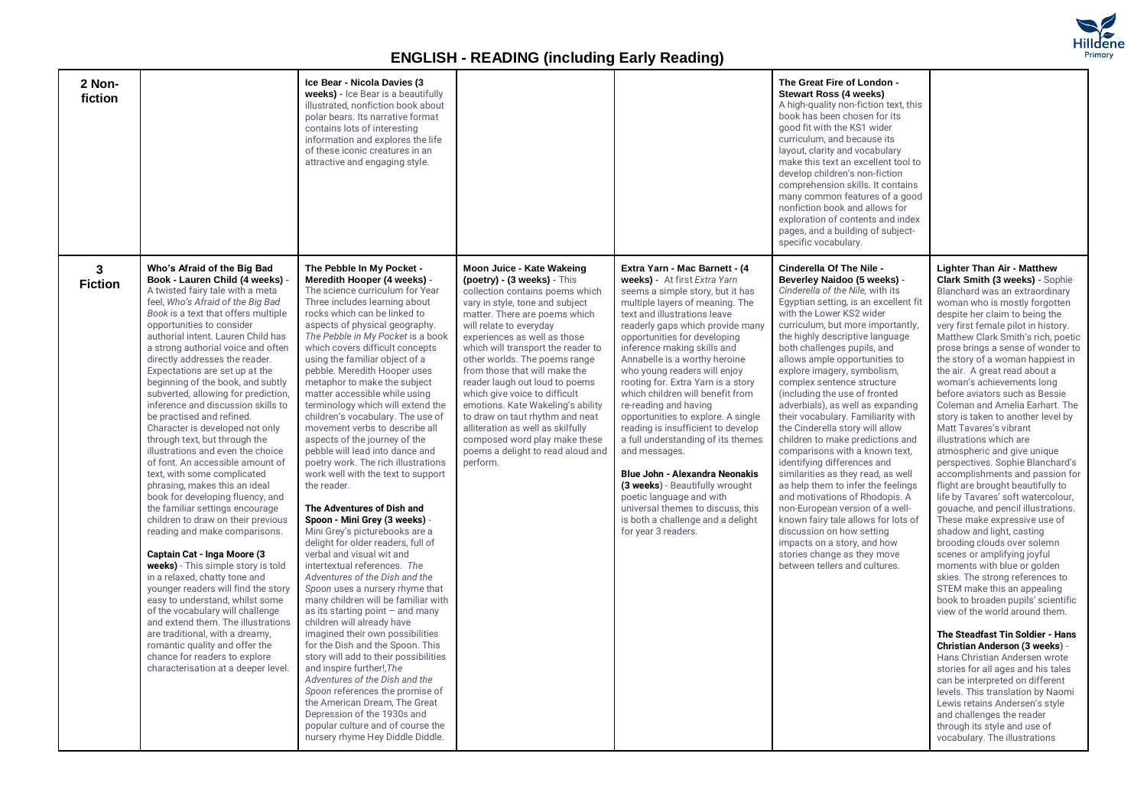

| 2 Non-<br>fiction   |                                                                                                                                                                                                                                                                                                                                                                                                                                                                                                                                                                                                                                                                                                                                                                                                                                                                                                                                                                                                                                                                                                                                                                                                                                                                              | Ice Bear - Nicola Davies (3<br>weeks) - Ice Bear is a beautifully<br>illustrated, nonfiction book about<br>polar bears. Its narrative format<br>contains lots of interesting<br>information and explores the life<br>of these iconic creatures in an<br>attractive and engaging style.                                                                                                                                                                                                                                                                                                                                                                                                                                                                                                                                                                                                                                                                                                                                                                                                                                                                                                                                                                                                                                                                                                                                                |                                                                                                                                                                                                                                                                                                                                                                                                                                                                                                                                                                                                        |                                                                                                                                                                                                                                                                                                                                                                                                                                                                                                                                                                                                                                                                                                                                                                                  | The Great Fire of London -<br><b>Stewart Ross (4 weeks)</b><br>A high-quality non-fiction text, this<br>book has been chosen for its<br>good fit with the KS1 wider<br>curriculum, and because its<br>layout, clarity and vocabulary<br>make this text an excellent tool to<br>develop children's non-fiction<br>comprehension skills. It contains<br>many common features of a good<br>nonfiction book and allows for<br>exploration of contents and index<br>pages, and a building of subject-<br>specific vocabulary.                                                                                                                                                                                                                                                                                                                                                                                                                      |                                                                                                                                                                                                                                                                                                                                                                                                                                                                                                                                                                                                                                                                                                                                                                                                                                                                                                                                                                                                                                                                                                                                                                                                                                                                                                                                                                                                                                                     |
|---------------------|------------------------------------------------------------------------------------------------------------------------------------------------------------------------------------------------------------------------------------------------------------------------------------------------------------------------------------------------------------------------------------------------------------------------------------------------------------------------------------------------------------------------------------------------------------------------------------------------------------------------------------------------------------------------------------------------------------------------------------------------------------------------------------------------------------------------------------------------------------------------------------------------------------------------------------------------------------------------------------------------------------------------------------------------------------------------------------------------------------------------------------------------------------------------------------------------------------------------------------------------------------------------------|---------------------------------------------------------------------------------------------------------------------------------------------------------------------------------------------------------------------------------------------------------------------------------------------------------------------------------------------------------------------------------------------------------------------------------------------------------------------------------------------------------------------------------------------------------------------------------------------------------------------------------------------------------------------------------------------------------------------------------------------------------------------------------------------------------------------------------------------------------------------------------------------------------------------------------------------------------------------------------------------------------------------------------------------------------------------------------------------------------------------------------------------------------------------------------------------------------------------------------------------------------------------------------------------------------------------------------------------------------------------------------------------------------------------------------------|--------------------------------------------------------------------------------------------------------------------------------------------------------------------------------------------------------------------------------------------------------------------------------------------------------------------------------------------------------------------------------------------------------------------------------------------------------------------------------------------------------------------------------------------------------------------------------------------------------|----------------------------------------------------------------------------------------------------------------------------------------------------------------------------------------------------------------------------------------------------------------------------------------------------------------------------------------------------------------------------------------------------------------------------------------------------------------------------------------------------------------------------------------------------------------------------------------------------------------------------------------------------------------------------------------------------------------------------------------------------------------------------------|-----------------------------------------------------------------------------------------------------------------------------------------------------------------------------------------------------------------------------------------------------------------------------------------------------------------------------------------------------------------------------------------------------------------------------------------------------------------------------------------------------------------------------------------------------------------------------------------------------------------------------------------------------------------------------------------------------------------------------------------------------------------------------------------------------------------------------------------------------------------------------------------------------------------------------------------------|-----------------------------------------------------------------------------------------------------------------------------------------------------------------------------------------------------------------------------------------------------------------------------------------------------------------------------------------------------------------------------------------------------------------------------------------------------------------------------------------------------------------------------------------------------------------------------------------------------------------------------------------------------------------------------------------------------------------------------------------------------------------------------------------------------------------------------------------------------------------------------------------------------------------------------------------------------------------------------------------------------------------------------------------------------------------------------------------------------------------------------------------------------------------------------------------------------------------------------------------------------------------------------------------------------------------------------------------------------------------------------------------------------------------------------------------------------|
| 3<br><b>Fiction</b> | Who's Afraid of the Big Bad<br>Book - Lauren Child (4 weeks) -<br>A twisted fairy tale with a meta<br>feel, Who's Afraid of the Big Bad<br>Book is a text that offers multiple<br>opportunities to consider<br>authorial intent. Lauren Child has<br>a strong authorial voice and often<br>directly addresses the reader.<br>Expectations are set up at the<br>beginning of the book, and subtly<br>subverted, allowing for prediction,<br>inference and discussion skills to<br>be practised and refined.<br>Character is developed not only<br>through text, but through the<br>illustrations and even the choice<br>of font. An accessible amount of<br>text, with some complicated<br>phrasing, makes this an ideal<br>book for developing fluency, and<br>the familiar settings encourage<br>children to draw on their previous<br>reading and make comparisons.<br>Captain Cat - Inga Moore (3<br>weeks) - This simple story is told<br>in a relaxed, chatty tone and<br>younger readers will find the story<br>easy to understand, whilst some<br>of the vocabulary will challenge<br>and extend them. The illustrations<br>are traditional, with a dreamy,<br>romantic quality and offer the<br>chance for readers to explore<br>characterisation at a deeper level. | The Pebble In My Pocket -<br>Meredith Hooper (4 weeks) -<br>The science curriculum for Year<br>Three includes learning about<br>rocks which can be linked to<br>aspects of physical geography.<br>The Pebble in My Pocket is a book<br>which covers difficult concepts<br>using the familiar object of a<br>pebble. Meredith Hooper uses<br>metaphor to make the subject<br>matter accessible while using<br>terminology which will extend the<br>children's vocabulary. The use of<br>movement verbs to describe all<br>aspects of the journey of the<br>pebble will lead into dance and<br>poetry work. The rich illustrations<br>work well with the text to support<br>the reader.<br>The Adventures of Dish and<br>Spoon - Mini Grey (3 weeks) -<br>Mini Grey's picturebooks are a<br>delight for older readers, full of<br>verbal and visual wit and<br>intertextual references. The<br>Adventures of the Dish and the<br>Spoon uses a nursery rhyme that<br>many children will be familiar with<br>as its starting point $-$ and many<br>children will already have<br>imagined their own possibilities<br>for the Dish and the Spoon. This<br>story will add to their possibilities<br>and inspire further!, The<br>Adventures of the Dish and the<br>Spoon references the promise of<br>the American Dream, The Great<br>Depression of the 1930s and<br>popular culture and of course the<br>nursery rhyme Hey Diddle Diddle. | Moon Juice - Kate Wakeing<br>(poetry) - (3 weeks) - $This$<br>collection contains poems which<br>vary in style, tone and subject<br>matter. There are poems which<br>will relate to everyday<br>experiences as well as those<br>which will transport the reader to<br>other worlds. The poems range<br>from those that will make the<br>reader laugh out loud to poems<br>which give voice to difficult<br>emotions. Kate Wakeling's ability<br>to draw on taut rhythm and neat<br>alliteration as well as skilfully<br>composed word play make these<br>poems a delight to read aloud and<br>perform. | Extra Yarn - Mac Barnett - (4<br>weeks) - At first Extra Yarn<br>seems a simple story, but it has<br>multiple layers of meaning. The<br>text and illustrations leave<br>readerly gaps which provide many<br>opportunities for developing<br>inference making skills and<br>Annabelle is a worthy heroine<br>who young readers will enjoy<br>rooting for. Extra Yarn is a story<br>which children will benefit from<br>re-reading and having<br>opportunities to explore. A single<br>reading is insufficient to develop<br>a full understanding of its themes<br>and messages.<br>Blue John - Alexandra Neonakis<br>(3 weeks) - Beautifully wrought<br>poetic language and with<br>universal themes to discuss, this<br>is both a challenge and a delight<br>for year 3 readers. | Cinderella Of The Nile -<br>Beverley Naidoo (5 weeks) -<br>Cinderella of the Nile, with its<br>Egyptian setting, is an excellent fit<br>with the Lower KS2 wider<br>curriculum, but more importantly,<br>the highly descriptive language<br>both challenges pupils, and<br>allows ample opportunities to<br>explore imagery, symbolism,<br>complex sentence structure<br>(including the use of fronted<br>adverbials), as well as expanding<br>their vocabulary. Familiarity with<br>the Cinderella story will allow<br>children to make predictions and<br>comparisons with a known text,<br>identifying differences and<br>similarities as they read, as well<br>as help them to infer the feelings<br>and motivations of Rhodopis. A<br>non-European version of a well-<br>known fairy tale allows for lots of<br>discussion on how setting<br>impacts on a story, and how<br>stories change as they move<br>between tellers and cultures. | <b>Lighter Than Air - Matthew</b><br>Clark Smith (3 weeks) - Sophie<br>Blanchard was an extraordinary<br>woman who is mostly forgotten<br>despite her claim to being the<br>very first female pilot in history.<br>Matthew Clark Smith's rich, poetic<br>prose brings a sense of wonder to<br>the story of a woman happiest in<br>the air. A great read about a<br>woman's achievements long<br>before aviators such as Bessie<br>Coleman and Amelia Earhart. The<br>story is taken to another level by<br>Matt Tavares's vibrant<br>illustrations which are<br>atmospheric and give unique<br>perspectives. Sophie Blanchard's<br>accomplishments and passion for<br>flight are brought beautifully to<br>life by Tavares' soft watercolour,<br>gouache, and pencil illustrations.<br>These make expressive use of<br>shadow and light, casting<br>brooding clouds over solemn<br>scenes or amplifying joyful<br>moments with blue or golden<br>skies. The strong references to<br>STEM make this an appealing<br>book to broaden pupils' scientific<br>view of the world around them.<br>The Steadfast Tin Soldier - Hans<br><b>Christian Anderson (3 weeks) -</b><br>Hans Christian Andersen wrote<br>stories for all ages and his tales<br>can be interpreted on different<br>levels. This translation by Naomi<br>Lewis retains Andersen's style<br>and challenges the reader<br>through its style and use of<br>vocabulary. The illustrations |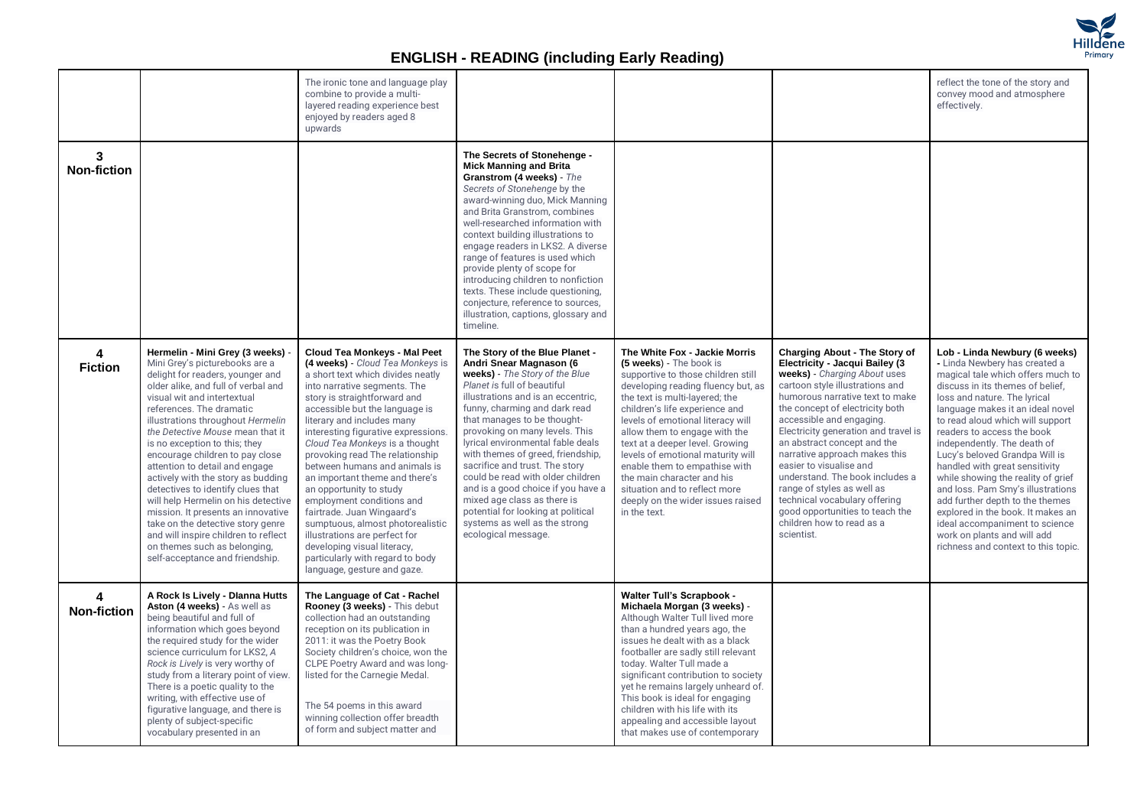

|                         |                                                                                                                                                                                                                                                                                                                                                                                                                                                                                                                                                                                                                                                                                                 | The ironic tone and language play<br>combine to provide a multi-<br>layered reading experience best<br>enjoyed by readers aged 8<br>upwards                                                                                                                                                                                                                                                                                                                                                                                                                                                                                                                                              |                                                                                                                                                                                                                                                                                                                                                                                                                                                                                                                                                                                        |                                                                                                                                                                                                                                                                                                                                                                                                                                                                                                             |                                                                                                                                                                                                                                                                                                                                                                                                                                                                                                                                                         | reflect the tone of the story and<br>convey mood and atmosphere<br>effectively.                                                                                                                                                                                                                                                                                                                                                                                                                                                                                                                                                             |
|-------------------------|-------------------------------------------------------------------------------------------------------------------------------------------------------------------------------------------------------------------------------------------------------------------------------------------------------------------------------------------------------------------------------------------------------------------------------------------------------------------------------------------------------------------------------------------------------------------------------------------------------------------------------------------------------------------------------------------------|------------------------------------------------------------------------------------------------------------------------------------------------------------------------------------------------------------------------------------------------------------------------------------------------------------------------------------------------------------------------------------------------------------------------------------------------------------------------------------------------------------------------------------------------------------------------------------------------------------------------------------------------------------------------------------------|----------------------------------------------------------------------------------------------------------------------------------------------------------------------------------------------------------------------------------------------------------------------------------------------------------------------------------------------------------------------------------------------------------------------------------------------------------------------------------------------------------------------------------------------------------------------------------------|-------------------------------------------------------------------------------------------------------------------------------------------------------------------------------------------------------------------------------------------------------------------------------------------------------------------------------------------------------------------------------------------------------------------------------------------------------------------------------------------------------------|---------------------------------------------------------------------------------------------------------------------------------------------------------------------------------------------------------------------------------------------------------------------------------------------------------------------------------------------------------------------------------------------------------------------------------------------------------------------------------------------------------------------------------------------------------|---------------------------------------------------------------------------------------------------------------------------------------------------------------------------------------------------------------------------------------------------------------------------------------------------------------------------------------------------------------------------------------------------------------------------------------------------------------------------------------------------------------------------------------------------------------------------------------------------------------------------------------------|
| 3<br><b>Non-fiction</b> |                                                                                                                                                                                                                                                                                                                                                                                                                                                                                                                                                                                                                                                                                                 |                                                                                                                                                                                                                                                                                                                                                                                                                                                                                                                                                                                                                                                                                          | The Secrets of Stonehenge -<br><b>Mick Manning and Brita</b><br>Granstrom (4 weeks) - The<br>Secrets of Stonehenge by the<br>award-winning duo, Mick Manning<br>and Brita Granstrom, combines<br>well-researched information with<br>context building illustrations to<br>engage readers in LKS2. A diverse<br>range of features is used which<br>provide plenty of scope for<br>introducing children to nonfiction<br>texts. These include questioning,<br>conjecture, reference to sources,<br>illustration, captions, glossary and<br>timeline.                                     |                                                                                                                                                                                                                                                                                                                                                                                                                                                                                                             |                                                                                                                                                                                                                                                                                                                                                                                                                                                                                                                                                         |                                                                                                                                                                                                                                                                                                                                                                                                                                                                                                                                                                                                                                             |
| 4<br><b>Fiction</b>     | Hermelin - Mini Grey (3 weeks) -<br>Mini Grey's picturebooks are a<br>delight for readers, younger and<br>older alike, and full of verbal and<br>visual wit and intertextual<br>references. The dramatic<br>illustrations throughout Hermelin<br>the Detective Mouse mean that it<br>is no exception to this; they<br>encourage children to pay close<br>attention to detail and engage<br>actively with the story as budding<br>detectives to identify clues that<br>will help Hermelin on his detective<br>mission. It presents an innovative<br>take on the detective story genre<br>and will inspire children to reflect<br>on themes such as belonging,<br>self-acceptance and friendship. | <b>Cloud Tea Monkeys - Mal Peet</b><br>(4 weeks) - Cloud Tea Monkeys is<br>a short text which divides neatly<br>into narrative segments. The<br>story is straightforward and<br>accessible but the language is<br>literary and includes many<br>interesting figurative expressions.<br>Cloud Tea Monkeys is a thought<br>provoking read The relationship<br>between humans and animals is<br>an important theme and there's<br>an opportunity to study<br>employment conditions and<br>fairtrade. Juan Wingaard's<br>sumptuous, almost photorealistic<br>illustrations are perfect for<br>developing visual literacy,<br>particularly with regard to body<br>language, gesture and gaze. | The Story of the Blue Planet -<br>Andri Snear Magnason (6<br>weeks) - The Story of the Blue<br>Planet is full of beautiful<br>illustrations and is an eccentric,<br>funny, charming and dark read<br>that manages to be thought-<br>provoking on many levels. This<br>lyrical environmental fable deals<br>with themes of greed, friendship,<br>sacrifice and trust. The story<br>could be read with older children<br>and is a good choice if you have a<br>mixed age class as there is<br>potential for looking at political<br>systems as well as the strong<br>ecological message. | The White Fox - Jackie Morris<br>(5 weeks) - The book is<br>supportive to those children still<br>developing reading fluency but, as<br>the text is multi-layered; the<br>children's life experience and<br>levels of emotional literacy will<br>allow them to engage with the<br>text at a deeper level. Growing<br>levels of emotional maturity will<br>enable them to empathise with<br>the main character and his<br>situation and to reflect more<br>deeply on the wider issues raised<br>in the text. | Charging About - The Story of<br>Electricity - Jacqui Bailey (3<br>weeks) - Charging About uses<br>cartoon style illustrations and<br>humorous narrative text to make<br>the concept of electricity both<br>accessible and engaging.<br>Electricity generation and travel is<br>an abstract concept and the<br>narrative approach makes this<br>easier to visualise and<br>understand. The book includes a<br>range of styles as well as<br>technical vocabulary offering<br>good opportunities to teach the<br>children how to read as a<br>scientist. | Lob - Linda Newbury (6 weeks)<br>- Linda Newbery has created a<br>magical tale which offers much to<br>discuss in its themes of belief,<br>loss and nature. The lyrical<br>language makes it an ideal novel<br>to read aloud which will support<br>readers to access the book<br>independently. The death of<br>Lucy's beloved Grandpa Will is<br>handled with great sensitivity<br>while showing the reality of grief<br>and loss. Pam Smy's illustrations<br>add further depth to the themes<br>explored in the book. It makes an<br>ideal accompaniment to science<br>work on plants and will add<br>richness and context to this topic. |
| 4<br><b>Non-fiction</b> | A Rock Is Lively - Dianna Hutts<br>Aston (4 weeks) - As well as<br>being beautiful and full of<br>information which goes beyond<br>the required study for the wider<br>science curriculum for LKS2, A<br>Rock is Lively is very worthy of<br>study from a literary point of view.<br>There is a poetic quality to the<br>writing, with effective use of<br>figurative language, and there is<br>plenty of subject-specific<br>vocabulary presented in an                                                                                                                                                                                                                                        | The Language of Cat - Rachel<br>Rooney (3 weeks) - This debut<br>collection had an outstanding<br>reception on its publication in<br>2011: it was the Poetry Book<br>Society children's choice, won the<br>CLPE Poetry Award and was long-<br>listed for the Carnegie Medal.<br>The 54 poems in this award<br>winning collection offer breadth<br>of form and subject matter and                                                                                                                                                                                                                                                                                                         |                                                                                                                                                                                                                                                                                                                                                                                                                                                                                                                                                                                        | <b>Walter Tull's Scrapbook -</b><br>Michaela Morgan (3 weeks) -<br>Although Walter Tull lived more<br>than a hundred years ago, the<br>issues he dealt with as a black<br>footballer are sadly still relevant<br>today. Walter Tull made a<br>significant contribution to society<br>yet he remains largely unheard of.<br>This book is ideal for engaging<br>children with his life with its<br>appealing and accessible layout<br>that makes use of contemporary                                          |                                                                                                                                                                                                                                                                                                                                                                                                                                                                                                                                                         |                                                                                                                                                                                                                                                                                                                                                                                                                                                                                                                                                                                                                                             |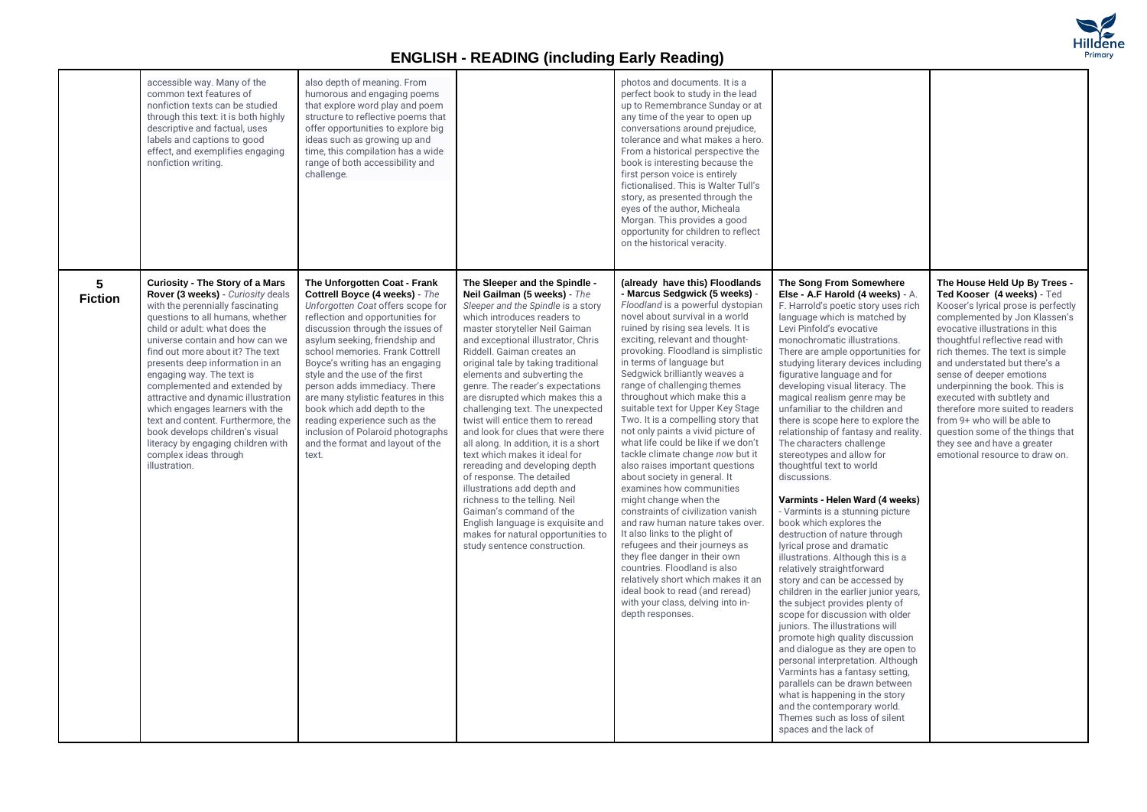

|                                  | accessible way. Many of the<br>common text features of<br>nonfiction texts can be studied<br>through this text: it is both highly<br>descriptive and factual, uses<br>labels and captions to good<br>effect, and exemplifies engaging<br>nonfiction writing.                                                                                                                                                                                                                                                                                                                                   | also depth of meaning. From<br>humorous and engaging poems<br>that explore word play and poem<br>structure to reflective poems that<br>offer opportunities to explore big<br>ideas such as growing up and<br>time, this compilation has a wide<br>range of both accessibility and<br>challenge.                                                                                                                                                                                                                                                 |                                                                                                                                                                                                                                                                                                                                                                                                                                                                                                                                                                                                                                                                                                                                                                                                                                                     | photos and documents. It is a<br>perfect book to study in the lead<br>up to Remembrance Sunday or at<br>any time of the year to open up<br>conversations around prejudice,<br>tolerance and what makes a hero.<br>From a historical perspective the<br>book is interesting because the<br>first person voice is entirely<br>fictionalised. This is Walter Tull's<br>story, as presented through the<br>eyes of the author, Micheala<br>Morgan. This provides a good<br>opportunity for children to reflect<br>on the historical veracity.                                                                                                                                                                                                                                                                                                                                                                                                                                                                                                               |                                                                                                                                                                                                                                                                                                                                                                                                                                                                                                                                                                                                                                                                                                                                                                                                                                                                                                                                                                                                                                                                                                                                                                                                                                                                                                                                     |                                                                                                                                                                                                                                                                                                                                                                                                                                                                                                                                                  |
|----------------------------------|------------------------------------------------------------------------------------------------------------------------------------------------------------------------------------------------------------------------------------------------------------------------------------------------------------------------------------------------------------------------------------------------------------------------------------------------------------------------------------------------------------------------------------------------------------------------------------------------|-------------------------------------------------------------------------------------------------------------------------------------------------------------------------------------------------------------------------------------------------------------------------------------------------------------------------------------------------------------------------------------------------------------------------------------------------------------------------------------------------------------------------------------------------|-----------------------------------------------------------------------------------------------------------------------------------------------------------------------------------------------------------------------------------------------------------------------------------------------------------------------------------------------------------------------------------------------------------------------------------------------------------------------------------------------------------------------------------------------------------------------------------------------------------------------------------------------------------------------------------------------------------------------------------------------------------------------------------------------------------------------------------------------------|---------------------------------------------------------------------------------------------------------------------------------------------------------------------------------------------------------------------------------------------------------------------------------------------------------------------------------------------------------------------------------------------------------------------------------------------------------------------------------------------------------------------------------------------------------------------------------------------------------------------------------------------------------------------------------------------------------------------------------------------------------------------------------------------------------------------------------------------------------------------------------------------------------------------------------------------------------------------------------------------------------------------------------------------------------|-------------------------------------------------------------------------------------------------------------------------------------------------------------------------------------------------------------------------------------------------------------------------------------------------------------------------------------------------------------------------------------------------------------------------------------------------------------------------------------------------------------------------------------------------------------------------------------------------------------------------------------------------------------------------------------------------------------------------------------------------------------------------------------------------------------------------------------------------------------------------------------------------------------------------------------------------------------------------------------------------------------------------------------------------------------------------------------------------------------------------------------------------------------------------------------------------------------------------------------------------------------------------------------------------------------------------------------|--------------------------------------------------------------------------------------------------------------------------------------------------------------------------------------------------------------------------------------------------------------------------------------------------------------------------------------------------------------------------------------------------------------------------------------------------------------------------------------------------------------------------------------------------|
| 5 <sup>5</sup><br><b>Fiction</b> | <b>Curiosity - The Story of a Mars</b><br>Rover (3 weeks) - Curiosity deals<br>with the perennially fascinating<br>questions to all humans, whether<br>child or adult: what does the<br>universe contain and how can we<br>find out more about it? The text<br>presents deep information in an<br>engaging way. The text is<br>complemented and extended by<br>attractive and dynamic illustration<br>which engages learners with the<br>text and content. Furthermore, the<br>book develops children's visual<br>literacy by engaging children with<br>complex ideas through<br>illustration. | The Unforgotten Coat - Frank<br>Cottrell Boyce (4 weeks) - The<br>Unforgotten Coat offers scope for<br>reflection and opportunities for<br>discussion through the issues of<br>asylum seeking, friendship and<br>school memories. Frank Cottrell<br>Boyce's writing has an engaging<br>style and the use of the first<br>person adds immediacy. There<br>are many stylistic features in this<br>book which add depth to the<br>reading experience such as the<br>inclusion of Polaroid photographs<br>and the format and layout of the<br>text. | The Sleeper and the Spindle -<br>Neil Gailman (5 weeks) - The<br>Sleeper and the Spindle is a story<br>which introduces readers to<br>master storyteller Neil Gaiman<br>and exceptional illustrator, Chris<br>Riddell. Gaiman creates an<br>original tale by taking traditional<br>elements and subverting the<br>genre. The reader's expectations<br>are disrupted which makes this a<br>challenging text. The unexpected<br>twist will entice them to reread<br>and look for clues that were there<br>all along. In addition, it is a short<br>text which makes it ideal for<br>rereading and developing depth<br>of response. The detailed<br>illustrations add depth and<br>richness to the telling. Neil<br>Gaiman's command of the<br>English language is exquisite and<br>makes for natural opportunities to<br>study sentence construction. | (already have this) Floodlands<br>- Marcus Sedgwick (5 weeks) -<br>Floodland is a powerful dystopian<br>novel about survival in a world<br>ruined by rising sea levels. It is<br>exciting, relevant and thought-<br>provoking. Floodland is simplistic<br>in terms of language but<br>Sedgwick brilliantly weaves a<br>range of challenging themes<br>throughout which make this a<br>suitable text for Upper Key Stage<br>Two. It is a compelling story that<br>not only paints a vivid picture of<br>what life could be like if we don't<br>tackle climate change now but it<br>also raises important questions<br>about society in general. It<br>examines how communities<br>might change when the<br>constraints of civilization vanish<br>and raw human nature takes over.<br>It also links to the plight of<br>refugees and their journeys as<br>they flee danger in their own<br>countries. Floodland is also<br>relatively short which makes it an<br>ideal book to read (and reread)<br>with your class, delving into in-<br>depth responses. | The Song From Somewhere<br>Else - A.F Harold (4 weeks) - A.<br>F. Harrold's poetic story uses rich<br>language which is matched by<br>Levi Pinfold's evocative<br>monochromatic illustrations.<br>There are ample opportunities for<br>studying literary devices including<br>figurative language and for<br>developing visual literacy. The<br>magical realism genre may be<br>unfamiliar to the children and<br>there is scope here to explore the<br>relationship of fantasy and reality.<br>The characters challenge<br>stereotypes and allow for<br>thoughtful text to world<br>discussions.<br>Varmints - Helen Ward (4 weeks)<br>- Varmints is a stunning picture<br>book which explores the<br>destruction of nature through<br>lyrical prose and dramatic<br>illustrations. Although this is a<br>relatively straightforward<br>story and can be accessed by<br>children in the earlier junior years,<br>the subject provides plenty of<br>scope for discussion with older<br>juniors. The illustrations will<br>promote high quality discussion<br>and dialogue as they are open to<br>personal interpretation. Although<br>Varmints has a fantasy setting,<br>parallels can be drawn between<br>what is happening in the story<br>and the contemporary world.<br>Themes such as loss of silent<br>spaces and the lack of | The House Held Up By Trees -<br>Ted Kooser (4 weeks) - Ted<br>Kooser's lyrical prose is perfectly<br>complemented by Jon Klassen's<br>evocative illustrations in this<br>thoughtful reflective read with<br>rich themes. The text is simple<br>and understated but there's a<br>sense of deeper emotions<br>underpinning the book. This is<br>executed with subtlety and<br>therefore more suited to readers<br>from 9+ who will be able to<br>question some of the things that<br>they see and have a greater<br>emotional resource to draw on. |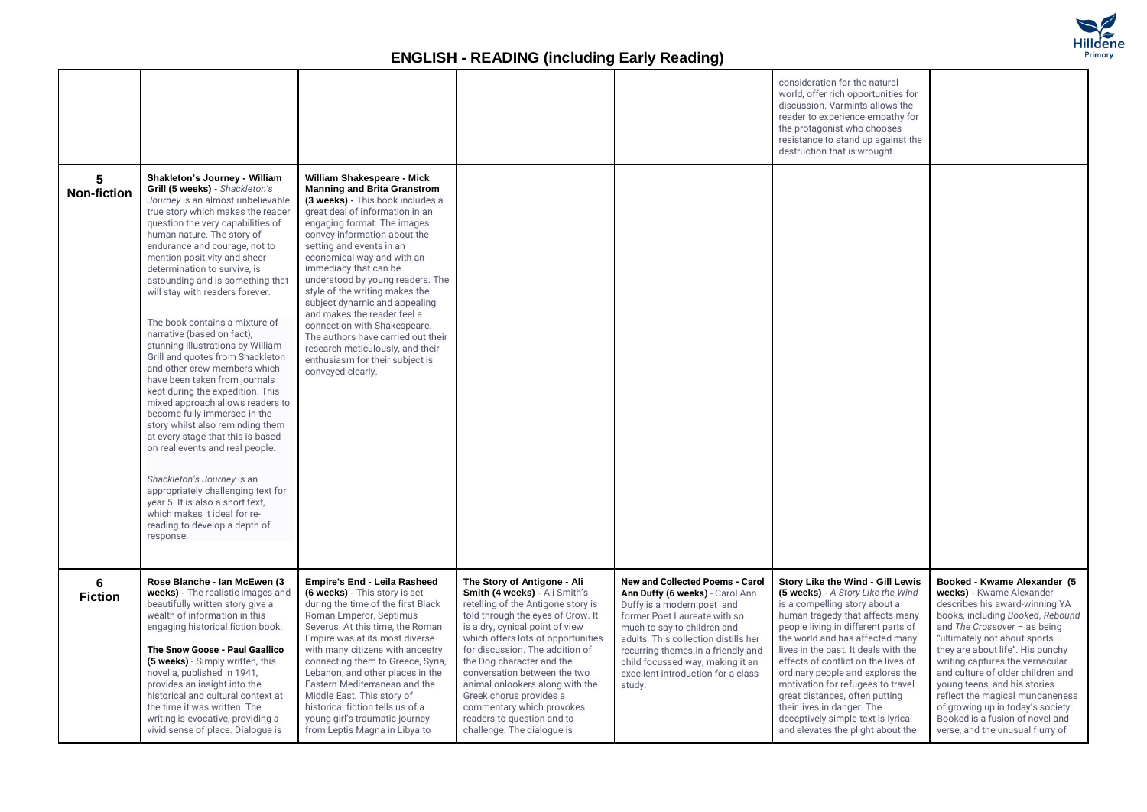

|                         |                                                                                                                                                                                                                                                                                                                                                                                                                                                                                                                                                                                                                                                                                                                                                                                                                                                                                                                                                                                                          |                                                                                                                                                                                                                                                                                                                                                                                                                                                                                                                                                                                                   |                                                                                                                                                                                                                                                                                                                                                                                                                                                                         |                                                                                                                                                                                                                                                                                                                                          | consideration for the natural<br>world, offer rich opportunities for<br>discussion. Varmints allows the<br>reader to experience empathy for<br>the protagonist who chooses<br>resistance to stand up against the<br>destruction that is wrought.                                                                                                                                                                                                                                                                       |                                                                                                                                                                                                                                                                                                                                                                                                                                                                                              |
|-------------------------|----------------------------------------------------------------------------------------------------------------------------------------------------------------------------------------------------------------------------------------------------------------------------------------------------------------------------------------------------------------------------------------------------------------------------------------------------------------------------------------------------------------------------------------------------------------------------------------------------------------------------------------------------------------------------------------------------------------------------------------------------------------------------------------------------------------------------------------------------------------------------------------------------------------------------------------------------------------------------------------------------------|---------------------------------------------------------------------------------------------------------------------------------------------------------------------------------------------------------------------------------------------------------------------------------------------------------------------------------------------------------------------------------------------------------------------------------------------------------------------------------------------------------------------------------------------------------------------------------------------------|-------------------------------------------------------------------------------------------------------------------------------------------------------------------------------------------------------------------------------------------------------------------------------------------------------------------------------------------------------------------------------------------------------------------------------------------------------------------------|------------------------------------------------------------------------------------------------------------------------------------------------------------------------------------------------------------------------------------------------------------------------------------------------------------------------------------------|------------------------------------------------------------------------------------------------------------------------------------------------------------------------------------------------------------------------------------------------------------------------------------------------------------------------------------------------------------------------------------------------------------------------------------------------------------------------------------------------------------------------|----------------------------------------------------------------------------------------------------------------------------------------------------------------------------------------------------------------------------------------------------------------------------------------------------------------------------------------------------------------------------------------------------------------------------------------------------------------------------------------------|
| 5<br><b>Non-fiction</b> | Shakleton's Journey - William<br>Grill (5 weeks) - Shackleton's<br>Journey is an almost unbelievable<br>true story which makes the reader<br>question the very capabilities of<br>human nature. The story of<br>endurance and courage, not to<br>mention positivity and sheer<br>determination to survive, is<br>astounding and is something that<br>will stay with readers forever.<br>The book contains a mixture of<br>narrative (based on fact),<br>stunning illustrations by William<br>Grill and quotes from Shackleton<br>and other crew members which<br>have been taken from journals<br>kept during the expedition. This<br>mixed approach allows readers to<br>become fully immersed in the<br>story whilst also reminding them<br>at every stage that this is based<br>on real events and real people.<br>Shackleton's Journey is an<br>appropriately challenging text for<br>year 5. It is also a short text,<br>which makes it ideal for re-<br>reading to develop a depth of<br>response. | William Shakespeare - Mick<br><b>Manning and Brita Granstrom</b><br>(3 weeks) - This book includes a<br>great deal of information in an<br>engaging format. The images<br>convey information about the<br>setting and events in an<br>economical way and with an<br>immediacy that can be<br>understood by young readers. The<br>style of the writing makes the<br>subject dynamic and appealing<br>and makes the reader feel a<br>connection with Shakespeare.<br>The authors have carried out their<br>research meticulously, and their<br>enthusiasm for their subject is<br>conveyed clearly. |                                                                                                                                                                                                                                                                                                                                                                                                                                                                         |                                                                                                                                                                                                                                                                                                                                          |                                                                                                                                                                                                                                                                                                                                                                                                                                                                                                                        |                                                                                                                                                                                                                                                                                                                                                                                                                                                                                              |
| 6<br><b>Fiction</b>     | Rose Blanche - Ian McEwen (3<br>weeks) - The realistic images and<br>beautifully written story give a<br>wealth of information in this<br>engaging historical fiction book.<br>The Snow Goose - Paul Gaallico<br>(5 weeks) - Simply written, this<br>novella, published in 1941,<br>provides an insight into the<br>historical and cultural context at<br>the time it was written. The<br>writing is evocative, providing a<br>vivid sense of place. Dialogue is                                                                                                                                                                                                                                                                                                                                                                                                                                                                                                                                         | Empire's End - Leila Rasheed<br>(6 weeks) - This story is set<br>during the time of the first Black<br>Roman Emperor, Septimus<br>Severus. At this time, the Roman<br>Empire was at its most diverse<br>with many citizens with ancestry<br>connecting them to Greece, Syria,<br>Lebanon, and other places in the<br>Eastern Mediterranean and the<br>Middle East. This story of<br>historical fiction tells us of a<br>young girl's traumatic journey<br>from Leptis Magna in Libya to                                                                                                           | The Story of Antigone - Ali<br>Smith (4 weeks) - Ali Smith's<br>retelling of the Antigone story is<br>told through the eyes of Crow. It<br>is a dry, cynical point of view<br>which offers lots of opportunities<br>for discussion. The addition of<br>the Dog character and the<br>conversation between the two<br>animal onlookers along with the<br>Greek chorus provides a<br>commentary which provokes<br>readers to question and to<br>challenge. The dialogue is | <b>New and Collected Poems - Carol</b><br>Ann Duffy (6 weeks) - Carol Ann<br>Duffy is a modern poet and<br>former Poet Laureate with so<br>much to say to children and<br>adults. This collection distills her<br>recurring themes in a friendly and<br>child focussed way, making it an<br>excellent introduction for a class<br>study. | Story Like the Wind - Gill Lewis<br>(5 weeks) - A Story Like the Wind<br>is a compelling story about a<br>human tragedy that affects many<br>people living in different parts of<br>the world and has affected many<br>lives in the past. It deals with the<br>effects of conflict on the lives of<br>ordinary people and explores the<br>motivation for refugees to travel<br>great distances, often putting<br>their lives in danger. The<br>deceptively simple text is lyrical<br>and elevates the plight about the | Booked - Kwame Alexander (5<br>weeks) - Kwame Alexander<br>describes his award-winning YA<br>books, including Booked, Rebound<br>and The Crossover $-$ as being<br>"ultimately not about sports -<br>they are about life". His punchy<br>writing captures the vernacular<br>and culture of older children and<br>young teens, and his stories<br>reflect the magical mundaneness<br>of growing up in today's society.<br>Booked is a fusion of novel and<br>verse, and the unusual flurry of |